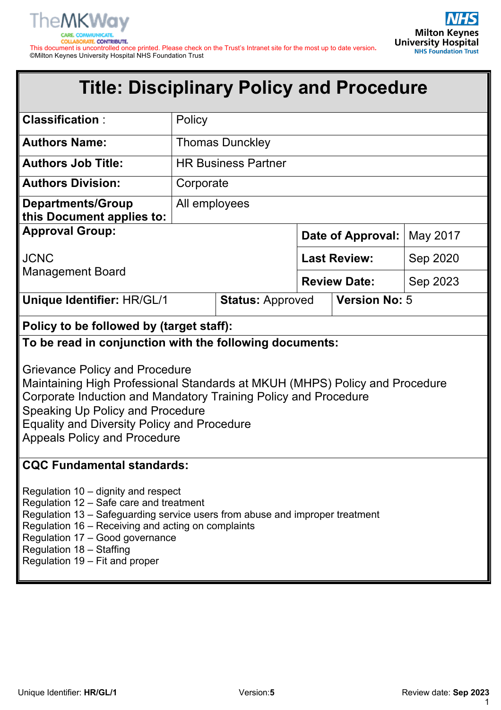

**Milton Keynes University Hospital** 

This document is uncontrolled once printed. Please check on the Trust's Intranet site for the most up to date version**.** ©Milton Keynes University Hospital NHS Foundation Trust

# **Title: Disciplinary Policy and Procedure**

| <b>Classification:</b>                                                                                                                                                                                                                                                                                                                                                              | Policy                     |                         |                      |  |          |
|-------------------------------------------------------------------------------------------------------------------------------------------------------------------------------------------------------------------------------------------------------------------------------------------------------------------------------------------------------------------------------------|----------------------------|-------------------------|----------------------|--|----------|
| <b>Authors Name:</b>                                                                                                                                                                                                                                                                                                                                                                | <b>Thomas Dunckley</b>     |                         |                      |  |          |
| <b>Authors Job Title:</b>                                                                                                                                                                                                                                                                                                                                                           | <b>HR Business Partner</b> |                         |                      |  |          |
| <b>Authors Division:</b>                                                                                                                                                                                                                                                                                                                                                            | Corporate                  |                         |                      |  |          |
| <b>Departments/Group</b><br>this Document applies to:                                                                                                                                                                                                                                                                                                                               | All employees              |                         |                      |  |          |
| <b>Approval Group:</b>                                                                                                                                                                                                                                                                                                                                                              |                            |                         | Date of Approval:    |  | May 2017 |
| <b>JCNC</b>                                                                                                                                                                                                                                                                                                                                                                         |                            |                         | <b>Last Review:</b>  |  | Sep 2020 |
| <b>Management Board</b>                                                                                                                                                                                                                                                                                                                                                             |                            |                         | <b>Review Date:</b>  |  | Sep 2023 |
| <b>Unique Identifier: HR/GL/1</b>                                                                                                                                                                                                                                                                                                                                                   |                            | <b>Status: Approved</b> | <b>Version No: 5</b> |  |          |
| Policy to be followed by (target staff):                                                                                                                                                                                                                                                                                                                                            |                            |                         |                      |  |          |
| To be read in conjunction with the following documents:<br><b>Grievance Policy and Procedure</b><br>Maintaining High Professional Standards at MKUH (MHPS) Policy and Procedure<br>Corporate Induction and Mandatory Training Policy and Procedure<br>Speaking Up Policy and Procedure<br><b>Equality and Diversity Policy and Procedure</b><br><b>Appeals Policy and Procedure</b> |                            |                         |                      |  |          |
| <b>CQC Fundamental standards:</b><br>Regulation 10 – dignity and respect<br>Regulation 12 - Safe care and treatment<br>Regulation 13 – Safeguarding service users from abuse and improper treatment<br>Regulation 16 - Receiving and acting on complaints<br>Regulation 17 - Good governance<br>Regulation 18 - Staffing<br>Regulation 19 – Fit and proper                          |                            |                         |                      |  |          |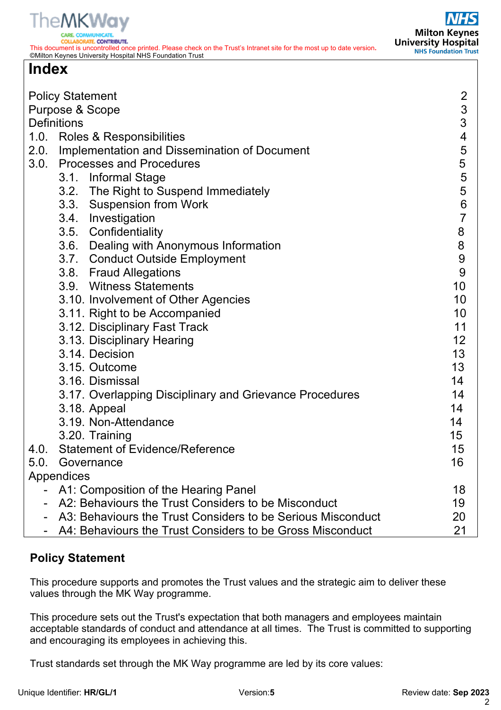

ATE, CONTRIBUTE. This document is uncontrolled once printed. Please check on the Trust's Intranet site for the most up to date version**.** ©Milton Keynes University Hospital NHS Foundation Trust

# **Index**

|      | <b>Policy Statement</b><br>Purpose & Scope<br><b>Definitions</b><br>1.0. Roles & Responsibilities<br>2.0. Implementation and Dissemination of Document | $\overline{2}$<br>$\mathfrak{S}$<br>3<br>$\overline{\mathcal{A}}$<br>5 |
|------|--------------------------------------------------------------------------------------------------------------------------------------------------------|------------------------------------------------------------------------|
|      | 3.0. Processes and Procedures                                                                                                                          | 5                                                                      |
|      | 3.1. Informal Stage                                                                                                                                    | 5                                                                      |
|      | 3.2. The Right to Suspend Immediately                                                                                                                  | 5                                                                      |
|      | 3.3. Suspension from Work                                                                                                                              | 6                                                                      |
|      | 3.4. Investigation                                                                                                                                     | $\overline{7}$                                                         |
|      | 3.5. Confidentiality                                                                                                                                   | 8                                                                      |
|      | 3.6. Dealing with Anonymous Information                                                                                                                | $\bf 8$                                                                |
|      | 3.7. Conduct Outside Employment                                                                                                                        | 9<br>9                                                                 |
|      | 3.8. Fraud Allegations<br>3.9. Witness Statements                                                                                                      | 10                                                                     |
|      | 3.10. Involvement of Other Agencies                                                                                                                    | 10                                                                     |
|      | 3.11. Right to be Accompanied                                                                                                                          | 10                                                                     |
|      | 3.12. Disciplinary Fast Track                                                                                                                          | 11                                                                     |
|      | 3.13. Disciplinary Hearing                                                                                                                             | 12                                                                     |
|      | 3.14. Decision                                                                                                                                         | 13                                                                     |
|      | 3.15. Outcome                                                                                                                                          | 13                                                                     |
|      | 3.16. Dismissal                                                                                                                                        | 14                                                                     |
|      | 3.17. Overlapping Disciplinary and Grievance Procedures                                                                                                | 14                                                                     |
|      | 3.18. Appeal                                                                                                                                           | 14                                                                     |
|      | 3.19. Non-Attendance                                                                                                                                   | 14                                                                     |
|      | 3.20. Training                                                                                                                                         | 15                                                                     |
| 4.0. | <b>Statement of Evidence/Reference</b>                                                                                                                 | 15                                                                     |
| 5.0. | Governance                                                                                                                                             | 16                                                                     |
|      | Appendices                                                                                                                                             |                                                                        |
|      | A1: Composition of the Hearing Panel                                                                                                                   | 18                                                                     |
|      | A2: Behaviours the Trust Considers to be Misconduct                                                                                                    | 19                                                                     |
|      | A3: Behaviours the Trust Considers to be Serious Misconduct                                                                                            | 20                                                                     |
|      | A4: Behaviours the Trust Considers to be Gross Misconduct                                                                                              | 21                                                                     |

# **Policy Statement**

This procedure supports and promotes the Trust values and the strategic aim to deliver these values through the MK Way programme.

This procedure sets out the Trust's expectation that both managers and employees maintain acceptable standards of conduct and attendance at all times. The Trust is committed to supporting and encouraging its employees in achieving this.

Trust standards set through the MK Way programme are led by its core values: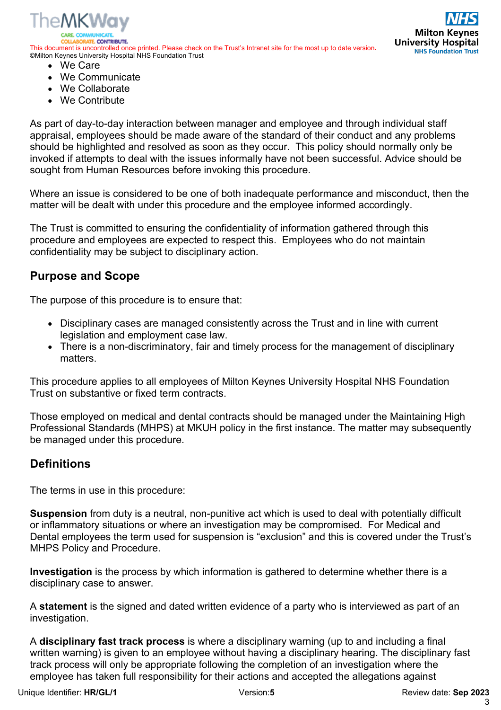

**PATE CONTRIBUTE** This document is uncontrolled once printed. Please check on the Trust's Intranet site for the most up to date version**.** ©Milton Keynes University Hospital NHS Foundation Trust



- We Care
- We Communicate
- We Collaborate
- We Contribute

As part of day-to-day interaction between manager and employee and through individual staff appraisal, employees should be made aware of the standard of their conduct and any problems should be highlighted and resolved as soon as they occur. This policy should normally only be invoked if attempts to deal with the issues informally have not been successful. Advice should be sought from Human Resources before invoking this procedure.

Where an issue is considered to be one of both inadequate performance and misconduct, then the matter will be dealt with under this procedure and the employee informed accordingly.

The Trust is committed to ensuring the confidentiality of information gathered through this procedure and employees are expected to respect this. Employees who do not maintain confidentiality may be subject to disciplinary action.

# **Purpose and Scope**

The purpose of this procedure is to ensure that:

- Disciplinary cases are managed consistently across the Trust and in line with current legislation and employment case law.
- There is a non-discriminatory, fair and timely process for the management of disciplinary matters.

This procedure applies to all employees of Milton Keynes University Hospital NHS Foundation Trust on substantive or fixed term contracts.

Those employed on medical and dental contracts should be managed under the Maintaining High Professional Standards (MHPS) at MKUH policy in the first instance. The matter may subsequently be managed under this procedure.

# **Definitions**

The terms in use in this procedure:

**Suspension** from duty is a neutral, non-punitive act which is used to deal with potentially difficult or inflammatory situations or where an investigation may be compromised. For Medical and Dental employees the term used for suspension is "exclusion" and this is covered under the Trust's MHPS Policy and Procedure.

**Investigation** is the process by which information is gathered to determine whether there is a disciplinary case to answer.

A **statement** is the signed and dated written evidence of a party who is interviewed as part of an investigation.

A **disciplinary fast track process** is where a disciplinary warning (up to and including a final written warning) is given to an employee without having a disciplinary hearing. The disciplinary fast track process will only be appropriate following the completion of an investigation where the employee has taken full responsibility for their actions and accepted the allegations against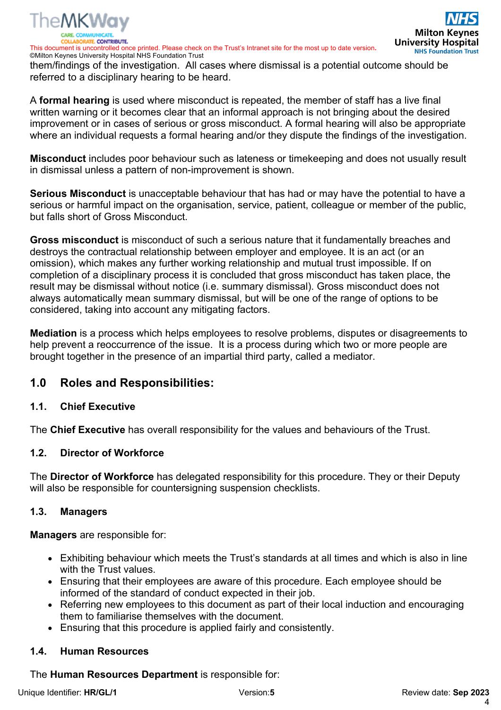

©Milton Keynes University Hospital NHS Foundation Trust them/findings of the investigation. All cases where dismissal is a potential outcome should be referred to a disciplinary hearing to be heard.

A **formal hearing** is used where misconduct is repeated, the member of staff has a live final written warning or it becomes clear that an informal approach is not bringing about the desired improvement or in cases of serious or gross misconduct. A formal hearing will also be appropriate where an individual requests a formal hearing and/or they dispute the findings of the investigation.

**Misconduct** includes poor behaviour such as lateness or timekeeping and does not usually result in dismissal unless a pattern of non-improvement is shown.

**Serious Misconduct** is unacceptable behaviour that has had or may have the potential to have a serious or harmful impact on the organisation, service, patient, colleague or member of the public, but falls short of Gross Misconduct.

**Gross misconduct** is misconduct of such a serious nature that it fundamentally breaches and destroys the contractual relationship between employer and employee. It is an act (or an omission), which makes any further working relationship and mutual trust impossible. If on completion of a disciplinary process it is concluded that gross misconduct has taken place, the result may be dismissal without notice (i.e. summary dismissal). Gross misconduct does not always automatically mean summary dismissal, but will be one of the range of options to be considered, taking into account any mitigating factors.

**Mediation** is a process which helps employees to resolve problems, disputes or disagreements to help prevent a reoccurrence of the issue. It is a process during which two or more people are brought together in the presence of an impartial third party, called a mediator.

# **1.0 Roles and Responsibilities:**

### **1.1. Chief Executive**

The **Chief Executive** has overall responsibility for the values and behaviours of the Trust.

### **1.2. Director of Workforce**

The **Director of Workforce** has delegated responsibility for this procedure. They or their Deputy will also be responsible for countersigning suspension checklists.

#### **1.3. Managers**

**Managers** are responsible for:

- Exhibiting behaviour which meets the Trust's standards at all times and which is also in line with the Trust values.
- Ensuring that their employees are aware of this procedure. Each employee should be informed of the standard of conduct expected in their job.
- Referring new employees to this document as part of their local induction and encouraging them to familiarise themselves with the document.
- Ensuring that this procedure is applied fairly and consistently.

### **1.4. Human Resources**

The **Human Resources Department** is responsible for: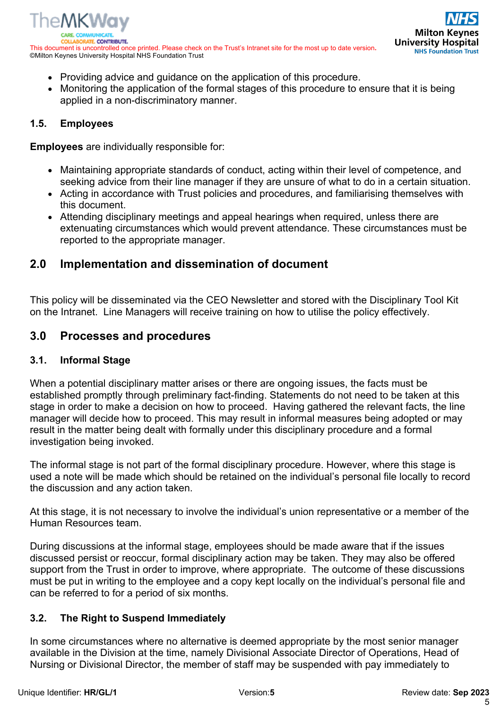

- Providing advice and guidance on the application of this procedure.
- Monitoring the application of the formal stages of this procedure to ensure that it is being applied in a non-discriminatory manner.

#### **1.5. Employees**

**Employees** are individually responsible for:

- Maintaining appropriate standards of conduct, acting within their level of competence, and seeking advice from their line manager if they are unsure of what to do in a certain situation.
- Acting in accordance with Trust policies and procedures, and familiarising themselves with this document.
- Attending disciplinary meetings and appeal hearings when required, unless there are extenuating circumstances which would prevent attendance. These circumstances must be reported to the appropriate manager.

# **2.0 Implementation and dissemination of document**

This policy will be disseminated via the CEO Newsletter and stored with the Disciplinary Tool Kit on the Intranet. Line Managers will receive training on how to utilise the policy effectively.

# **3.0 Processes and procedures**

#### **3.1. Informal Stage**

When a potential disciplinary matter arises or there are ongoing issues, the facts must be established promptly through preliminary fact-finding. Statements do not need to be taken at this stage in order to make a decision on how to proceed. Having gathered the relevant facts, the line manager will decide how to proceed. This may result in informal measures being adopted or may result in the matter being dealt with formally under this disciplinary procedure and a formal investigation being invoked.

The informal stage is not part of the formal disciplinary procedure. However, where this stage is used a note will be made which should be retained on the individual's personal file locally to record the discussion and any action taken.

At this stage, it is not necessary to involve the individual's union representative or a member of the Human Resources team.

During discussions at the informal stage, employees should be made aware that if the issues discussed persist or reoccur, formal disciplinary action may be taken. They may also be offered support from the Trust in order to improve, where appropriate. The outcome of these discussions must be put in writing to the employee and a copy kept locally on the individual's personal file and can be referred to for a period of six months.

#### **3.2. The Right to Suspend Immediately**

In some circumstances where no alternative is deemed appropriate by the most senior manager available in the Division at the time, namely Divisional Associate Director of Operations, Head of Nursing or Divisional Director, the member of staff may be suspended with pay immediately to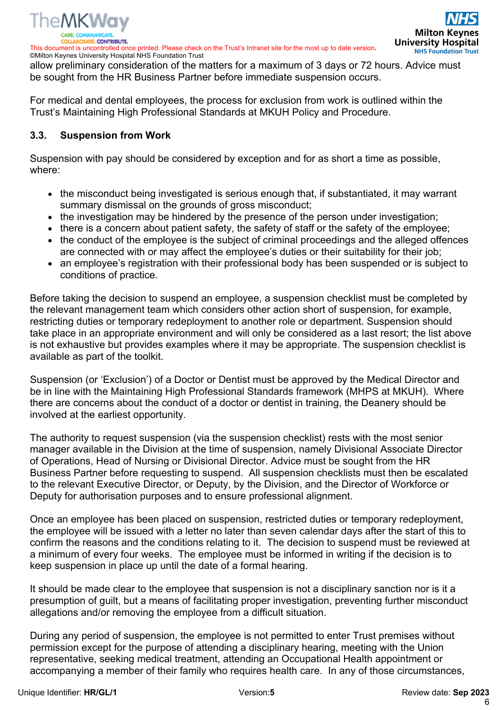

©Milton Keynes University Hospital NHS Foundation Trust allow preliminary consideration of the matters for a maximum of 3 days or 72 hours. Advice must be sought from the HR Business Partner before immediate suspension occurs.

For medical and dental employees, the process for exclusion from work is outlined within the Trust's Maintaining High Professional Standards at MKUH Policy and Procedure.

#### **3.3. Suspension from Work**

Suspension with pay should be considered by exception and for as short a time as possible, where:

- the misconduct being investigated is serious enough that, if substantiated, it may warrant summary dismissal on the grounds of gross misconduct;
- the investigation may be hindered by the presence of the person under investigation;
- there is a concern about patient safety, the safety of staff or the safety of the employee;
- the conduct of the employee is the subject of criminal proceedings and the alleged offences are connected with or may affect the employee's duties or their suitability for their job;
- an employee's registration with their professional body has been suspended or is subject to conditions of practice.

Before taking the decision to suspend an employee, a suspension checklist must be completed by the relevant management team which considers other action short of suspension, for example, restricting duties or temporary redeployment to another role or department. Suspension should take place in an appropriate environment and will only be considered as a last resort; the list above is not exhaustive but provides examples where it may be appropriate. The suspension checklist is available as part of the toolkit.

Suspension (or 'Exclusion') of a Doctor or Dentist must be approved by the Medical Director and be in line with the Maintaining High Professional Standards framework (MHPS at MKUH). Where there are concerns about the conduct of a doctor or dentist in training, the Deanery should be involved at the earliest opportunity.

The authority to request suspension (via the suspension checklist) rests with the most senior manager available in the Division at the time of suspension, namely Divisional Associate Director of Operations, Head of Nursing or Divisional Director. Advice must be sought from the HR Business Partner before requesting to suspend. All suspension checklists must then be escalated to the relevant Executive Director, or Deputy, by the Division, and the Director of Workforce or Deputy for authorisation purposes and to ensure professional alignment.

Once an employee has been placed on suspension, restricted duties or temporary redeployment, the employee will be issued with a letter no later than seven calendar days after the start of this to confirm the reasons and the conditions relating to it. The decision to suspend must be reviewed at a minimum of every four weeks. The employee must be informed in writing if the decision is to keep suspension in place up until the date of a formal hearing.

It should be made clear to the employee that suspension is not a disciplinary sanction nor is it a presumption of guilt, but a means of facilitating proper investigation, preventing further misconduct allegations and/or removing the employee from a difficult situation.

During any period of suspension, the employee is not permitted to enter Trust premises without permission except for the purpose of attending a disciplinary hearing, meeting with the Union representative, seeking medical treatment, attending an Occupational Health appointment or accompanying a member of their family who requires health care. In any of those circumstances,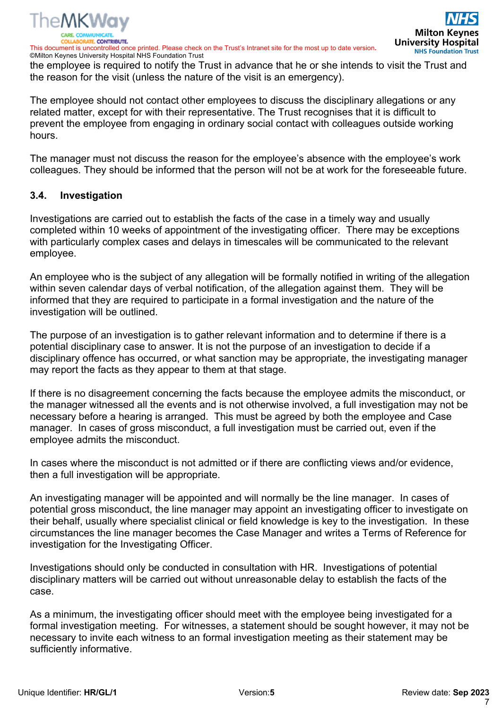

©Milton Keynes University Hospital NHS Foundation Trust the employee is required to notify the Trust in advance that he or she intends to visit the Trust and the reason for the visit (unless the nature of the visit is an emergency).

The employee should not contact other employees to discuss the disciplinary allegations or any related matter, except for with their representative. The Trust recognises that it is difficult to prevent the employee from engaging in ordinary social contact with colleagues outside working hours.

The manager must not discuss the reason for the employee's absence with the employee's work colleagues. They should be informed that the person will not be at work for the foreseeable future.

#### **3.4. Investigation**

Investigations are carried out to establish the facts of the case in a timely way and usually completed within 10 weeks of appointment of the investigating officer. There may be exceptions with particularly complex cases and delays in timescales will be communicated to the relevant employee.

An employee who is the subject of any allegation will be formally notified in writing of the allegation within seven calendar days of verbal notification, of the allegation against them. They will be informed that they are required to participate in a formal investigation and the nature of the investigation will be outlined.

The purpose of an investigation is to gather relevant information and to determine if there is a potential disciplinary case to answer. It is not the purpose of an investigation to decide if a disciplinary offence has occurred, or what sanction may be appropriate, the investigating manager may report the facts as they appear to them at that stage.

If there is no disagreement concerning the facts because the employee admits the misconduct, or the manager witnessed all the events and is not otherwise involved, a full investigation may not be necessary before a hearing is arranged. This must be agreed by both the employee and Case manager. In cases of gross misconduct, a full investigation must be carried out, even if the employee admits the misconduct.

In cases where the misconduct is not admitted or if there are conflicting views and/or evidence, then a full investigation will be appropriate.

An investigating manager will be appointed and will normally be the line manager. In cases of potential gross misconduct, the line manager may appoint an investigating officer to investigate on their behalf, usually where specialist clinical or field knowledge is key to the investigation. In these circumstances the line manager becomes the Case Manager and writes a Terms of Reference for investigation for the Investigating Officer.

Investigations should only be conducted in consultation with HR. Investigations of potential disciplinary matters will be carried out without unreasonable delay to establish the facts of the case.

As a minimum, the investigating officer should meet with the employee being investigated for a formal investigation meeting. For witnesses, a statement should be sought however, it may not be necessary to invite each witness to an formal investigation meeting as their statement may be sufficiently informative.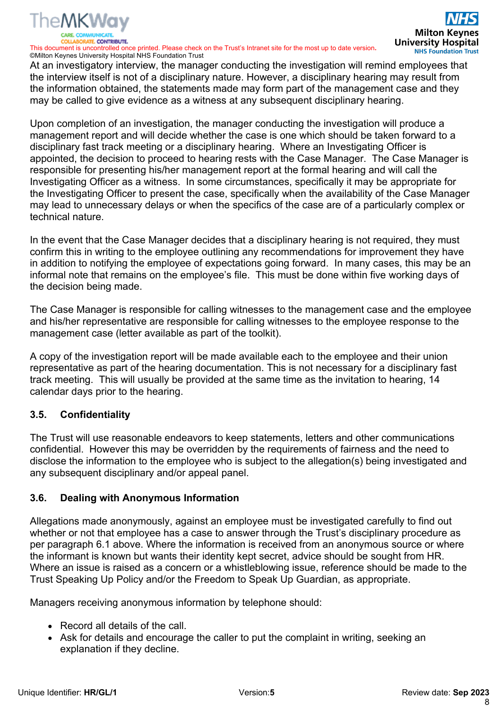

This document is uncontrolled once printed. Please check on the Trust's Intranet site for the most up to date version**.** ©Milton Keynes University Hospital NHS Foundation Trust

At an investigatory interview, the manager conducting the investigation will remind employees that the interview itself is not of a disciplinary nature. However, a disciplinary hearing may result from the information obtained, the statements made may form part of the management case and they may be called to give evidence as a witness at any subsequent disciplinary hearing.

Upon completion of an investigation, the manager conducting the investigation will produce a management report and will decide whether the case is one which should be taken forward to a disciplinary fast track meeting or a disciplinary hearing. Where an Investigating Officer is appointed, the decision to proceed to hearing rests with the Case Manager. The Case Manager is responsible for presenting his/her management report at the formal hearing and will call the Investigating Officer as a witness. In some circumstances, specifically it may be appropriate for the Investigating Officer to present the case, specifically when the availability of the Case Manager may lead to unnecessary delays or when the specifics of the case are of a particularly complex or technical nature.

In the event that the Case Manager decides that a disciplinary hearing is not required, they must confirm this in writing to the employee outlining any recommendations for improvement they have in addition to notifying the employee of expectations going forward. In many cases, this may be an informal note that remains on the employee's file. This must be done within five working days of the decision being made.

The Case Manager is responsible for calling witnesses to the management case and the employee and his/her representative are responsible for calling witnesses to the employee response to the management case (letter available as part of the toolkit).

A copy of the investigation report will be made available each to the employee and their union representative as part of the hearing documentation. This is not necessary for a disciplinary fast track meeting. This will usually be provided at the same time as the invitation to hearing, 14 calendar days prior to the hearing.

#### **3.5. Confidentiality**

The Trust will use reasonable endeavors to keep statements, letters and other communications confidential. However this may be overridden by the requirements of fairness and the need to disclose the information to the employee who is subject to the allegation(s) being investigated and any subsequent disciplinary and/or appeal panel.

#### **3.6. Dealing with Anonymous Information**

Allegations made anonymously, against an employee must be investigated carefully to find out whether or not that employee has a case to answer through the Trust's disciplinary procedure as per paragraph 6.1 above. Where the information is received from an anonymous source or where the informant is known but wants their identity kept secret, advice should be sought from HR. Where an issue is raised as a concern or a whistleblowing issue, reference should be made to the Trust Speaking Up Policy and/or the Freedom to Speak Up Guardian, as appropriate.

Managers receiving anonymous information by telephone should:

- Record all details of the call.
- Ask for details and encourage the caller to put the complaint in writing, seeking an explanation if they decline.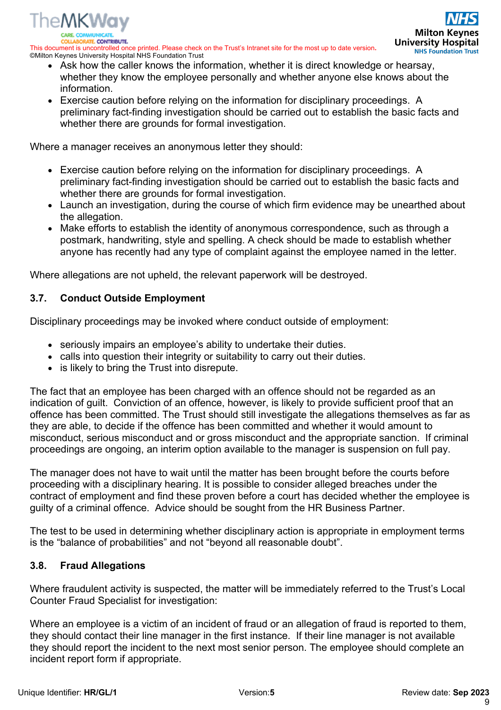*ITE CONTRIBUTE* This document is uncontrolled once printed. Please check on the Trust's Intranet site for the most up to date version**.** ©Milton Keynes University Hospital NHS Foundation Trust

- Ask how the caller knows the information, whether it is direct knowledge or hearsay, whether they know the employee personally and whether anyone else knows about the information.
- Exercise caution before relying on the information for disciplinary proceedings. A preliminary fact-finding investigation should be carried out to establish the basic facts and whether there are grounds for formal investigation.

Where a manager receives an anonymous letter they should:

- Exercise caution before relying on the information for disciplinary proceedings. A preliminary fact-finding investigation should be carried out to establish the basic facts and whether there are grounds for formal investigation.
- Launch an investigation, during the course of which firm evidence may be unearthed about the allegation.
- Make efforts to establish the identity of anonymous correspondence, such as through a postmark, handwriting, style and spelling. A check should be made to establish whether anyone has recently had any type of complaint against the employee named in the letter.

Where allegations are not upheld, the relevant paperwork will be destroyed.

#### **3.7. Conduct Outside Employment**

The**MKWav** 

Disciplinary proceedings may be invoked where conduct outside of employment:

- seriously impairs an employee's ability to undertake their duties.
- calls into question their integrity or suitability to carry out their duties.
- is likely to bring the Trust into disrepute.

The fact that an employee has been charged with an offence should not be regarded as an indication of guilt. Conviction of an offence, however, is likely to provide sufficient proof that an offence has been committed. The Trust should still investigate the allegations themselves as far as they are able, to decide if the offence has been committed and whether it would amount to misconduct, serious misconduct and or gross misconduct and the appropriate sanction. If criminal proceedings are ongoing, an interim option available to the manager is suspension on full pay.

The manager does not have to wait until the matter has been brought before the courts before proceeding with a disciplinary hearing. It is possible to consider alleged breaches under the contract of employment and find these proven before a court has decided whether the employee is guilty of a criminal offence. Advice should be sought from the HR Business Partner.

The test to be used in determining whether disciplinary action is appropriate in employment terms is the "balance of probabilities" and not "beyond all reasonable doubt".

#### **3.8. Fraud Allegations**

Where fraudulent activity is suspected, the matter will be immediately referred to the Trust's Local Counter Fraud Specialist for investigation:

Where an employee is a victim of an incident of fraud or an allegation of fraud is reported to them, they should contact their line manager in the first instance. If their line manager is not available they should report the incident to the next most senior person. The employee should complete an incident report form if appropriate.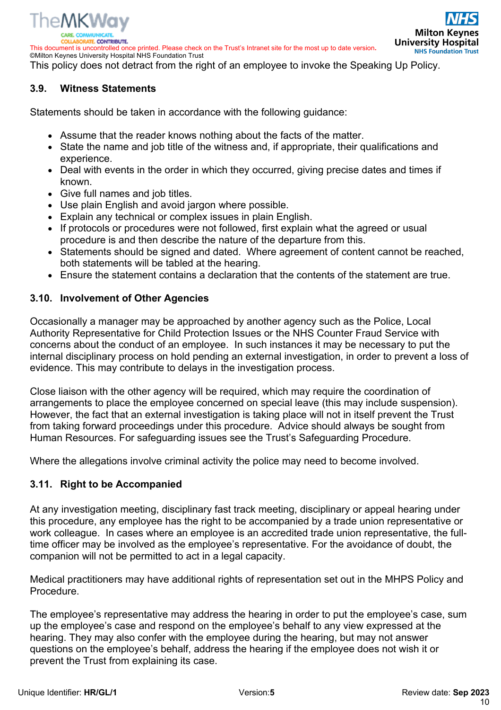

**ATE CONTRIBUTE** 

This document is uncontrolled once printed. Please check on the Trust's Intranet site for the most up to date version**.** ©Milton Keynes University Hospital NHS Foundation Trust



This policy does not detract from the right of an employee to invoke the Speaking Up Policy.

#### **3.9. Witness Statements**

Statements should be taken in accordance with the following guidance:

- Assume that the reader knows nothing about the facts of the matter.
- State the name and job title of the witness and, if appropriate, their qualifications and experience.
- Deal with events in the order in which they occurred, giving precise dates and times if known.
- Give full names and job titles.
- Use plain English and avoid jargon where possible.
- Explain any technical or complex issues in plain English.
- If protocols or procedures were not followed, first explain what the agreed or usual procedure is and then describe the nature of the departure from this.
- Statements should be signed and dated. Where agreement of content cannot be reached, both statements will be tabled at the hearing.
- Ensure the statement contains a declaration that the contents of the statement are true.

#### **3.10. Involvement of Other Agencies**

Occasionally a manager may be approached by another agency such as the Police, Local Authority Representative for Child Protection Issues or the NHS Counter Fraud Service with concerns about the conduct of an employee. In such instances it may be necessary to put the internal disciplinary process on hold pending an external investigation, in order to prevent a loss of evidence. This may contribute to delays in the investigation process.

Close liaison with the other agency will be required, which may require the coordination of arrangements to place the employee concerned on special leave (this may include suspension). However, the fact that an external investigation is taking place will not in itself prevent the Trust from taking forward proceedings under this procedure. Advice should always be sought from Human Resources. For safeguarding issues see the Trust's Safeguarding Procedure.

Where the allegations involve criminal activity the police may need to become involved.

#### **3.11. Right to be Accompanied**

At any investigation meeting, disciplinary fast track meeting, disciplinary or appeal hearing under this procedure, any employee has the right to be accompanied by a trade union representative or work colleague. In cases where an employee is an accredited trade union representative, the fulltime officer may be involved as the employee's representative. For the avoidance of doubt, the companion will not be permitted to act in a legal capacity.

Medical practitioners may have additional rights of representation set out in the MHPS Policy and Procedure.

The employee's representative may address the hearing in order to put the employee's case, sum up the employee's case and respond on the employee's behalf to any view expressed at the hearing. They may also confer with the employee during the hearing, but may not answer questions on the employee's behalf, address the hearing if the employee does not wish it or prevent the Trust from explaining its case.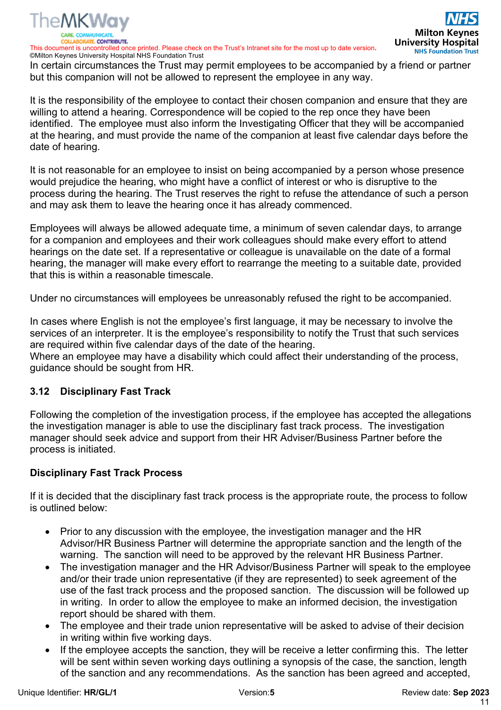

©Milton Keynes University Hospital NHS Foundation Trust In certain circumstances the Trust may permit employees to be accompanied by a friend or partner but this companion will not be allowed to represent the employee in any way.

It is the responsibility of the employee to contact their chosen companion and ensure that they are willing to attend a hearing. Correspondence will be copied to the rep once they have been identified. The employee must also inform the Investigating Officer that they will be accompanied at the hearing, and must provide the name of the companion at least five calendar days before the date of hearing.

It is not reasonable for an employee to insist on being accompanied by a person whose presence would prejudice the hearing, who might have a conflict of interest or who is disruptive to the process during the hearing. The Trust reserves the right to refuse the attendance of such a person and may ask them to leave the hearing once it has already commenced.

Employees will always be allowed adequate time, a minimum of seven calendar days, to arrange for a companion and employees and their work colleagues should make every effort to attend hearings on the date set. If a representative or colleague is unavailable on the date of a formal hearing, the manager will make every effort to rearrange the meeting to a suitable date, provided that this is within a reasonable timescale.

Under no circumstances will employees be unreasonably refused the right to be accompanied.

In cases where English is not the employee's first language, it may be necessary to involve the services of an interpreter. It is the employee's responsibility to notify the Trust that such services are required within five calendar days of the date of the hearing.

Where an employee may have a disability which could affect their understanding of the process, guidance should be sought from HR.

#### **3.12 Disciplinary Fast Track**

Following the completion of the investigation process, if the employee has accepted the allegations the investigation manager is able to use the disciplinary fast track process. The investigation manager should seek advice and support from their HR Adviser/Business Partner before the process is initiated.

#### **Disciplinary Fast Track Process**

If it is decided that the disciplinary fast track process is the appropriate route, the process to follow is outlined below:

- Prior to any discussion with the employee, the investigation manager and the HR Advisor/HR Business Partner will determine the appropriate sanction and the length of the warning. The sanction will need to be approved by the relevant HR Business Partner.
- The investigation manager and the HR Advisor/Business Partner will speak to the employee and/or their trade union representative (if they are represented) to seek agreement of the use of the fast track process and the proposed sanction. The discussion will be followed up in writing. In order to allow the employee to make an informed decision, the investigation report should be shared with them.
- The employee and their trade union representative will be asked to advise of their decision in writing within five working days.
- If the employee accepts the sanction, they will be receive a letter confirming this. The letter will be sent within seven working days outlining a synopsis of the case, the sanction, length of the sanction and any recommendations. As the sanction has been agreed and accepted,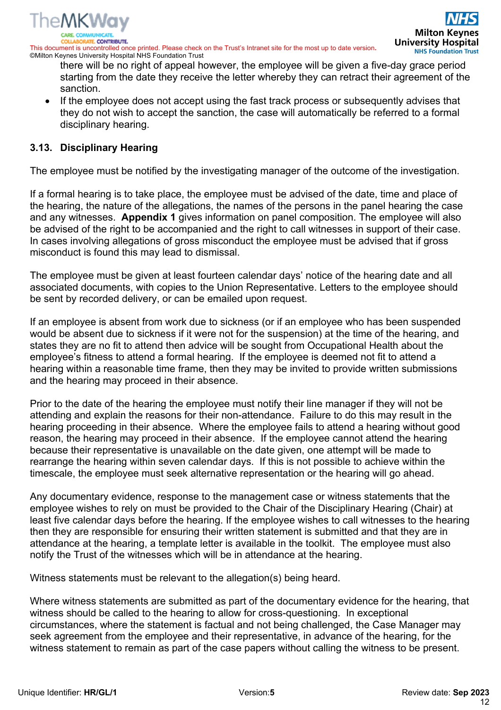

©Milton Keynes University Hospital NHS Foundation Trust there will be no right of appeal however, the employee will be given a five-day grace period

- starting from the date they receive the letter whereby they can retract their agreement of the sanction. • If the employee does not accept using the fast track process or subsequently advises that
- they do not wish to accept the sanction, the case will automatically be referred to a formal disciplinary hearing.

#### **3.13. Disciplinary Hearing**

The employee must be notified by the investigating manager of the outcome of the investigation.

If a formal hearing is to take place, the employee must be advised of the date, time and place of the hearing, the nature of the allegations, the names of the persons in the panel hearing the case and any witnesses. **Appendix 1** gives information on panel composition. The employee will also be advised of the right to be accompanied and the right to call witnesses in support of their case. In cases involving allegations of gross misconduct the employee must be advised that if gross misconduct is found this may lead to dismissal.

The employee must be given at least fourteen calendar days' notice of the hearing date and all associated documents, with copies to the Union Representative. Letters to the employee should be sent by recorded delivery, or can be emailed upon request.

If an employee is absent from work due to sickness (or if an employee who has been suspended would be absent due to sickness if it were not for the suspension) at the time of the hearing, and states they are no fit to attend then advice will be sought from Occupational Health about the employee's fitness to attend a formal hearing. If the employee is deemed not fit to attend a hearing within a reasonable time frame, then they may be invited to provide written submissions and the hearing may proceed in their absence.

Prior to the date of the hearing the employee must notify their line manager if they will not be attending and explain the reasons for their non-attendance. Failure to do this may result in the hearing proceeding in their absence. Where the employee fails to attend a hearing without good reason, the hearing may proceed in their absence. If the employee cannot attend the hearing because their representative is unavailable on the date given, one attempt will be made to rearrange the hearing within seven calendar days. If this is not possible to achieve within the timescale, the employee must seek alternative representation or the hearing will go ahead.

Any documentary evidence, response to the management case or witness statements that the employee wishes to rely on must be provided to the Chair of the Disciplinary Hearing (Chair) at least five calendar days before the hearing. If the employee wishes to call witnesses to the hearing then they are responsible for ensuring their written statement is submitted and that they are in attendance at the hearing, a template letter is available in the toolkit. The employee must also notify the Trust of the witnesses which will be in attendance at the hearing.

Witness statements must be relevant to the allegation(s) being heard.

Where witness statements are submitted as part of the documentary evidence for the hearing, that witness should be called to the hearing to allow for cross-questioning. In exceptional circumstances, where the statement is factual and not being challenged, the Case Manager may seek agreement from the employee and their representative, in advance of the hearing, for the witness statement to remain as part of the case papers without calling the witness to be present.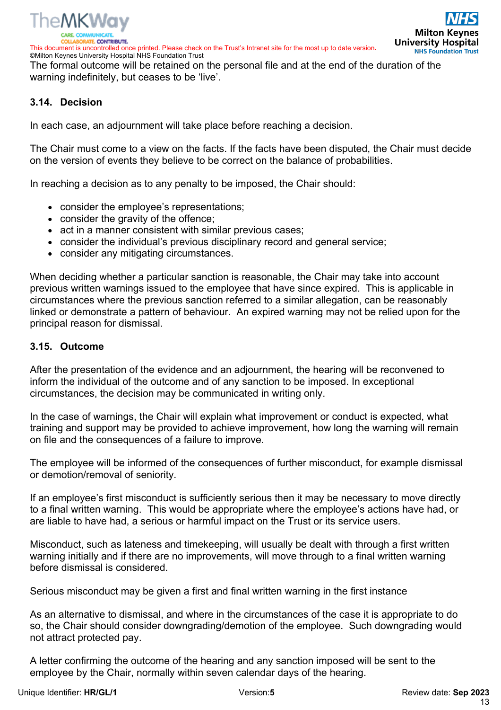

**Milton Key University Hospital NHS Foundation Trust** 

©Milton Keynes University Hospital NHS Foundation Trust The formal outcome will be retained on the personal file and at the end of the duration of the warning indefinitely, but ceases to be 'live'.

#### **3.14. Decision**

In each case, an adjournment will take place before reaching a decision.

The Chair must come to a view on the facts. If the facts have been disputed, the Chair must decide on the version of events they believe to be correct on the balance of probabilities.

In reaching a decision as to any penalty to be imposed, the Chair should:

- consider the employee's representations;
- consider the gravity of the offence:
- act in a manner consistent with similar previous cases;
- consider the individual's previous disciplinary record and general service;
- consider any mitigating circumstances.

When deciding whether a particular sanction is reasonable, the Chair may take into account previous written warnings issued to the employee that have since expired. This is applicable in circumstances where the previous sanction referred to a similar allegation, can be reasonably linked or demonstrate a pattern of behaviour. An expired warning may not be relied upon for the principal reason for dismissal.

#### **3.15. Outcome**

After the presentation of the evidence and an adjournment, the hearing will be reconvened to inform the individual of the outcome and of any sanction to be imposed. In exceptional circumstances, the decision may be communicated in writing only.

In the case of warnings, the Chair will explain what improvement or conduct is expected, what training and support may be provided to achieve improvement, how long the warning will remain on file and the consequences of a failure to improve.

The employee will be informed of the consequences of further misconduct, for example dismissal or demotion/removal of seniority.

If an employee's first misconduct is sufficiently serious then it may be necessary to move directly to a final written warning. This would be appropriate where the employee's actions have had, or are liable to have had, a serious or harmful impact on the Trust or its service users.

Misconduct, such as lateness and timekeeping, will usually be dealt with through a first written warning initially and if there are no improvements, will move through to a final written warning before dismissal is considered.

Serious misconduct may be given a first and final written warning in the first instance

As an alternative to dismissal, and where in the circumstances of the case it is appropriate to do so, the Chair should consider downgrading/demotion of the employee. Such downgrading would not attract protected pay.

A letter confirming the outcome of the hearing and any sanction imposed will be sent to the employee by the Chair, normally within seven calendar days of the hearing.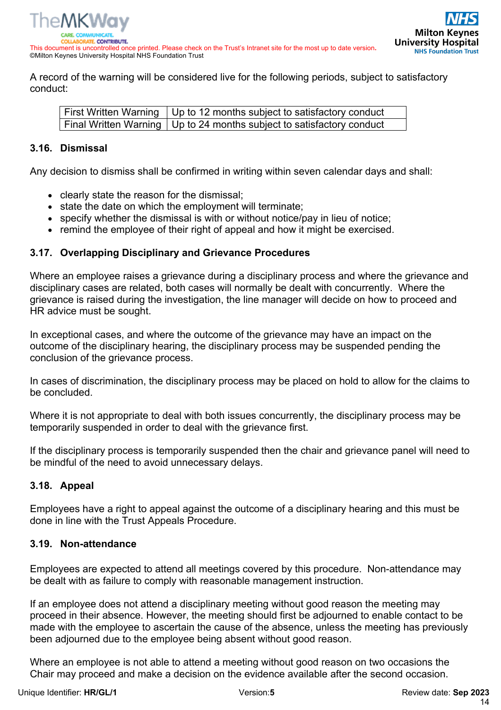

A record of the warning will be considered live for the following periods, subject to satisfactory conduct:

First Written Warning  $\vert$  Up to 12 months subject to satisfactory conduct Final Written Warning Up to 24 months subject to satisfactory conduct

### **3.16. Dismissal**

Any decision to dismiss shall be confirmed in writing within seven calendar days and shall:

- clearly state the reason for the dismissal;
- state the date on which the employment will terminate;
- specify whether the dismissal is with or without notice/pay in lieu of notice;
- remind the employee of their right of appeal and how it might be exercised.

#### **3.17. Overlapping Disciplinary and Grievance Procedures**

Where an employee raises a grievance during a disciplinary process and where the grievance and disciplinary cases are related, both cases will normally be dealt with concurrently. Where the grievance is raised during the investigation, the line manager will decide on how to proceed and HR advice must be sought.

In exceptional cases, and where the outcome of the grievance may have an impact on the outcome of the disciplinary hearing, the disciplinary process may be suspended pending the conclusion of the grievance process.

In cases of discrimination, the disciplinary process may be placed on hold to allow for the claims to be concluded.

Where it is not appropriate to deal with both issues concurrently, the disciplinary process may be temporarily suspended in order to deal with the grievance first.

If the disciplinary process is temporarily suspended then the chair and grievance panel will need to be mindful of the need to avoid unnecessary delays.

### **3.18. Appeal**

Employees have a right to appeal against the outcome of a disciplinary hearing and this must be done in line with the Trust Appeals Procedure.

#### **3.19. Non-attendance**

Employees are expected to attend all meetings covered by this procedure. Non-attendance may be dealt with as failure to comply with reasonable management instruction.

If an employee does not attend a disciplinary meeting without good reason the meeting may proceed in their absence. However, the meeting should first be adjourned to enable contact to be made with the employee to ascertain the cause of the absence, unless the meeting has previously been adjourned due to the employee being absent without good reason.

Where an employee is not able to attend a meeting without good reason on two occasions the Chair may proceed and make a decision on the evidence available after the second occasion.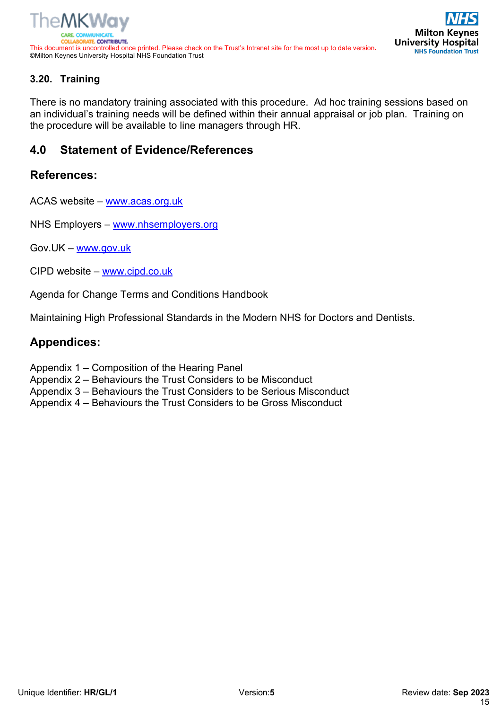



## **3.20. Training**

There is no mandatory training associated with this procedure. Ad hoc training sessions based on an individual's training needs will be defined within their annual appraisal or job plan. Training on the procedure will be available to line managers through HR.

# **4.0 Statement of Evidence/References**

## **References:**

ACAS website – www.acas.org.uk

NHS Employers – www.nhsemployers.org

Gov.UK – www.gov.uk

CIPD website – www.cipd.co.uk

Agenda for Change Terms and Conditions Handbook

Maintaining High Professional Standards in the Modern NHS for Doctors and Dentists.

### **Appendices:**

- Appendix 1 Composition of the Hearing Panel
- Appendix 2 Behaviours the Trust Considers to be Misconduct
- Appendix 3 Behaviours the Trust Considers to be Serious Misconduct
- Appendix 4 Behaviours the Trust Considers to be Gross Misconduct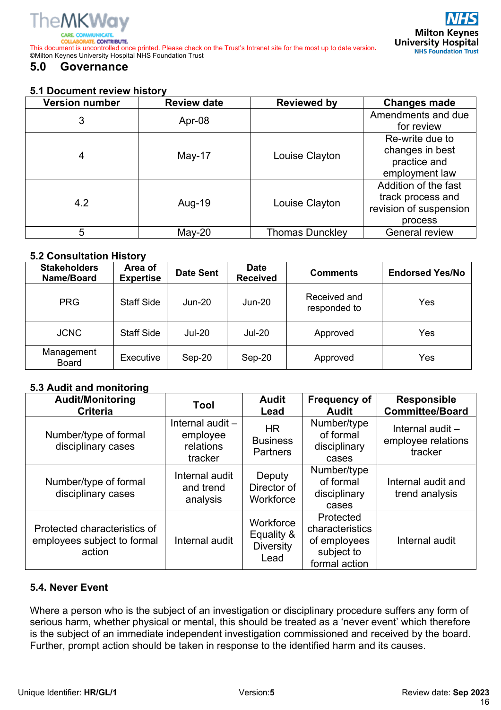

**RATE CONTRIBUTE** This document is uncontrolled once printed. Please check on the Trust's Intranet site for the most up to date version**.** ©Milton Keynes University Hospital NHS Foundation Trust

# **5.0 Governance**

#### **5.1 Document review history**

| <b>Version number</b> | <b>Review date</b> | <b>Reviewed by</b>     | <b>Changes made</b>                                                            |
|-----------------------|--------------------|------------------------|--------------------------------------------------------------------------------|
| 3                     | Apr-08             |                        | Amendments and due<br>for review                                               |
| 4                     | May-17             | Louise Clayton         | Re-write due to<br>changes in best<br>practice and<br>employment law           |
| 4.2                   | Aug-19             | Louise Clayton         | Addition of the fast<br>track process and<br>revision of suspension<br>process |
| 5                     | $May-20$           | <b>Thomas Dunckley</b> | <b>General review</b>                                                          |

#### **5.2 Consultation History**

| <b>Stakeholders</b><br>Name/Board | Area of<br><b>Expertise</b> | <b>Date Sent</b> | <b>Date</b><br><b>Received</b> | <b>Comments</b>              | <b>Endorsed Yes/No</b> |
|-----------------------------------|-----------------------------|------------------|--------------------------------|------------------------------|------------------------|
| <b>PRG</b>                        | <b>Staff Side</b>           | $Jun-20$         | Jun-20                         | Received and<br>responded to | Yes                    |
| <b>JCNC</b>                       | <b>Staff Side</b>           | <b>Jul-20</b>    | <b>Jul-20</b>                  | Approved                     | Yes                    |
| Management<br>Board               | Executive                   | Sep-20           | Sep-20                         | Approved                     | Yes                    |

#### **5.3 Audit and monitoring**

| <b>Audit/Monitoring</b><br><b>Criteria</b>                            | Tool                                                 | <b>Audit</b><br>Lead                                | <b>Frequency of</b><br><b>Audit</b>                                         | <b>Responsible</b><br><b>Committee/Board</b>      |
|-----------------------------------------------------------------------|------------------------------------------------------|-----------------------------------------------------|-----------------------------------------------------------------------------|---------------------------------------------------|
| Number/type of formal<br>disciplinary cases                           | Internal audit -<br>employee<br>relations<br>tracker | <b>HR</b><br><b>Business</b><br><b>Partners</b>     | Number/type<br>of formal<br>disciplinary<br>cases                           | Internal audit -<br>employee relations<br>tracker |
| Number/type of formal<br>disciplinary cases                           | Internal audit<br>and trend<br>analysis              | Deputy<br>Director of<br>Workforce                  | Number/type<br>of formal<br>disciplinary<br>cases                           | Internal audit and<br>trend analysis              |
| Protected characteristics of<br>employees subject to formal<br>action | Internal audit                                       | Workforce<br>Equality &<br><b>Diversity</b><br>Lead | Protected<br>characteristics<br>of employees<br>subject to<br>formal action | Internal audit                                    |

#### **5.4. Never Event**

Where a person who is the subject of an investigation or disciplinary procedure suffers any form of serious harm, whether physical or mental, this should be treated as a 'never event' which therefore is the subject of an immediate independent investigation commissioned and received by the board. Further, prompt action should be taken in response to the identified harm and its causes.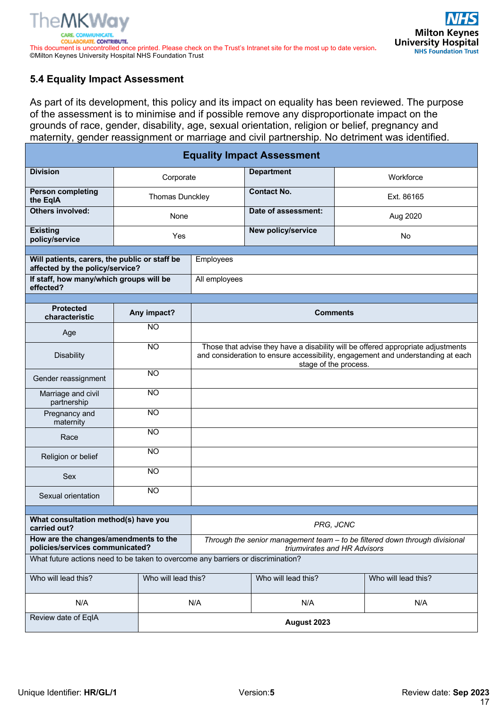### **5.4 Equality Impact Assessment**

As part of its development, this policy and its impact on equality has been reviewed. The purpose of the assessment is to minimise and if possible remove any disproportionate impact on the grounds of race, gender, disability, age, sexual orientation, religion or belief, pregnancy and maternity, gender reassignment or marriage and civil partnership. No detriment was identified.

| <b>Equality Impact Assessment</b>                                                |                        |                                                                                                                                                                                              |                     |                     |  |
|----------------------------------------------------------------------------------|------------------------|----------------------------------------------------------------------------------------------------------------------------------------------------------------------------------------------|---------------------|---------------------|--|
| <b>Division</b>                                                                  | Corporate              |                                                                                                                                                                                              | <b>Department</b>   | Workforce           |  |
| <b>Person completing</b><br>the EqIA                                             | <b>Thomas Dunckley</b> |                                                                                                                                                                                              | <b>Contact No.</b>  | Ext. 86165          |  |
| <b>Others involved:</b>                                                          | None                   |                                                                                                                                                                                              | Date of assessment: | Aug 2020            |  |
| <b>Existing</b><br>policy/service                                                | Yes                    |                                                                                                                                                                                              | New policy/service  | <b>No</b>           |  |
| Will patients, carers, the public or staff be                                    |                        | Employees                                                                                                                                                                                    |                     |                     |  |
| affected by the policy/service?                                                  |                        |                                                                                                                                                                                              |                     |                     |  |
| If staff, how many/which groups will be<br>effected?                             |                        | All employees                                                                                                                                                                                |                     |                     |  |
|                                                                                  |                        |                                                                                                                                                                                              |                     |                     |  |
| <b>Protected</b><br>characteristic                                               | Any impact?            |                                                                                                                                                                                              | <b>Comments</b>     |                     |  |
| Age                                                                              | <b>NO</b>              |                                                                                                                                                                                              |                     |                     |  |
| <b>Disability</b>                                                                | $\overline{NO}$        | Those that advise they have a disability will be offered appropriate adjustments<br>and consideration to ensure accessibility, engagement and understanding at each<br>stage of the process. |                     |                     |  |
| Gender reassignment                                                              | <b>NO</b>              |                                                                                                                                                                                              |                     |                     |  |
| Marriage and civil<br>partnership                                                | $\overline{NO}$        |                                                                                                                                                                                              |                     |                     |  |
| Pregnancy and<br>maternity                                                       | <b>NO</b>              |                                                                                                                                                                                              |                     |                     |  |
| Race                                                                             | <b>NO</b>              |                                                                                                                                                                                              |                     |                     |  |
| Religion or belief                                                               | <b>NO</b>              |                                                                                                                                                                                              |                     |                     |  |
| <b>Sex</b>                                                                       | <b>NO</b>              |                                                                                                                                                                                              |                     |                     |  |
| Sexual orientation                                                               | <b>NO</b>              |                                                                                                                                                                                              |                     |                     |  |
|                                                                                  |                        |                                                                                                                                                                                              |                     |                     |  |
| What consultation method(s) have you<br>carried out?                             |                        | PRG, JCNC                                                                                                                                                                                    |                     |                     |  |
| How are the changes/amendments to the<br>policies/services communicated?         |                        | Through the senior management team - to be filtered down through divisional<br>triumvirates and HR Advisors                                                                                  |                     |                     |  |
| What future actions need to be taken to overcome any barriers or discrimination? |                        |                                                                                                                                                                                              |                     |                     |  |
| Who will lead this?                                                              | Who will lead this?    |                                                                                                                                                                                              | Who will lead this? | Who will lead this? |  |
| N/A                                                                              |                        | N/A                                                                                                                                                                                          | N/A                 | N/A                 |  |
| Review date of EqIA                                                              |                        | August 2023                                                                                                                                                                                  |                     |                     |  |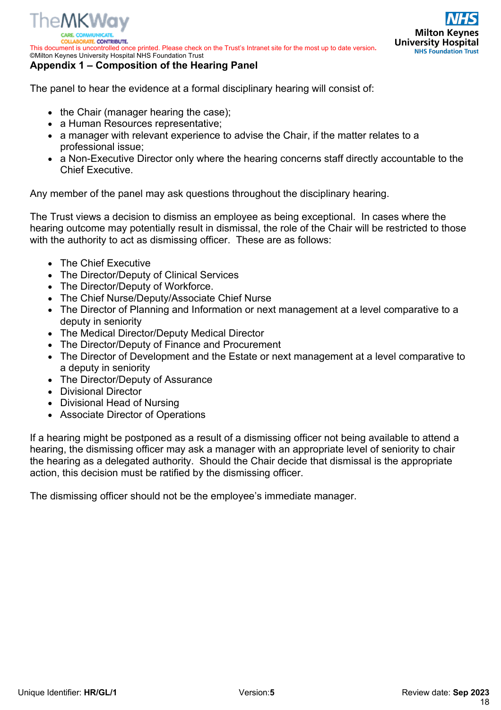

*ITE CONTRIBUTE* This document is uncontrolled once printed. Please check on the Trust's Intranet site for the most up to date version**.** ©Milton Keynes University Hospital NHS Foundation Trust

#### **Appendix 1 – Composition of the Hearing Panel**

The panel to hear the evidence at a formal disciplinary hearing will consist of:

- the Chair (manager hearing the case);
- a Human Resources representative;
- a manager with relevant experience to advise the Chair, if the matter relates to a professional issue;
- a Non-Executive Director only where the hearing concerns staff directly accountable to the Chief Executive.

Any member of the panel may ask questions throughout the disciplinary hearing.

The Trust views a decision to dismiss an employee as being exceptional. In cases where the hearing outcome may potentially result in dismissal, the role of the Chair will be restricted to those with the authority to act as dismissing officer. These are as follows:

- The Chief Executive
- The Director/Deputy of Clinical Services
- The Director/Deputy of Workforce.
- The Chief Nurse/Deputy/Associate Chief Nurse
- The Director of Planning and Information or next management at a level comparative to a deputy in seniority
- The Medical Director/Deputy Medical Director
- The Director/Deputy of Finance and Procurement
- The Director of Development and the Estate or next management at a level comparative to a deputy in seniority
- The Director/Deputy of Assurance
- Divisional Director
- Divisional Head of Nursing
- Associate Director of Operations

If a hearing might be postponed as a result of a dismissing officer not being available to attend a hearing, the dismissing officer may ask a manager with an appropriate level of seniority to chair the hearing as a delegated authority. Should the Chair decide that dismissal is the appropriate action, this decision must be ratified by the dismissing officer.

The dismissing officer should not be the employee's immediate manager.

**Milton Keynes** 

**University Hospital NHS Foundation Trust**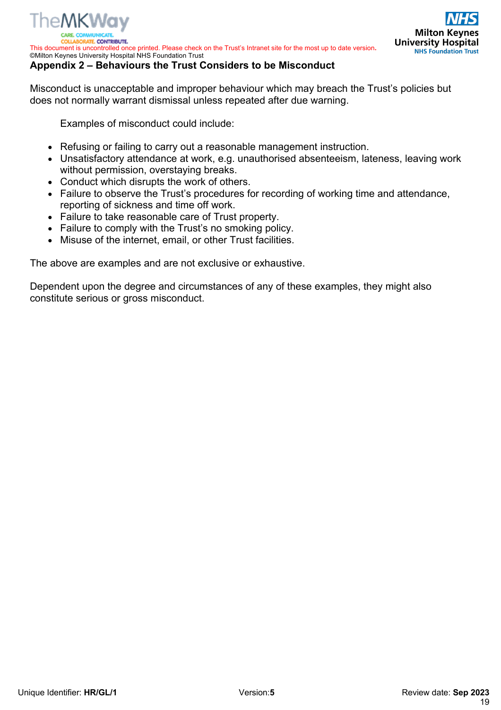

**ATE CONTRIBUTE** This document is uncontrolled once printed. Please check on the Trust's Intranet site for the most up to date version**.** ©Milton Keynes University Hospital NHS Foundation Trust

#### **Appendix 2 – Behaviours the Trust Considers to be Misconduct**

Misconduct is unacceptable and improper behaviour which may breach the Trust's policies but does not normally warrant dismissal unless repeated after due warning.

Examples of misconduct could include:

- Refusing or failing to carry out a reasonable management instruction.
- Unsatisfactory attendance at work, e.g. unauthorised absenteeism, lateness, leaving work without permission, overstaying breaks.
- Conduct which disrupts the work of others.
- Failure to observe the Trust's procedures for recording of working time and attendance, reporting of sickness and time off work.
- Failure to take reasonable care of Trust property.
- Failure to comply with the Trust's no smoking policy.
- Misuse of the internet, email, or other Trust facilities.

The above are examples and are not exclusive or exhaustive.

Dependent upon the degree and circumstances of any of these examples, they might also constitute serious or gross misconduct.

**Milton Keynes** 

**University Hospital NHS Foundation Trust**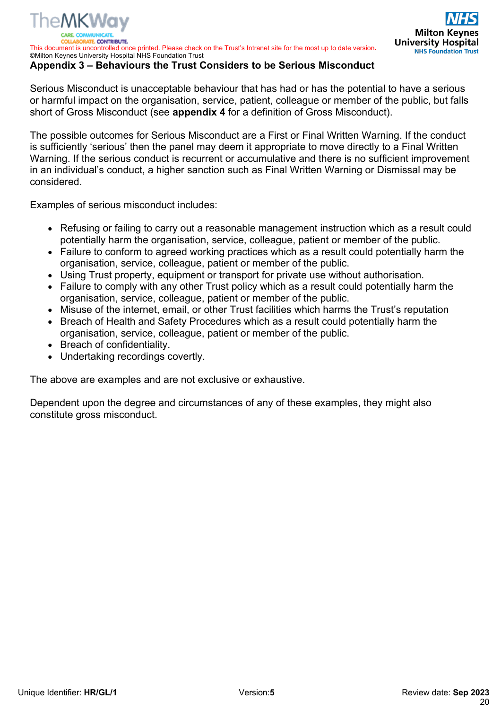**PATE CONTRIBUTE** This document is uncontrolled once printed. Please check on the Trust's Intranet site for the most up to date version**.** ©Milton Keynes University Hospital NHS Foundation Trust

#### **Appendix 3 – Behaviours the Trust Considers to be Serious Misconduct**

Serious Misconduct is unacceptable behaviour that has had or has the potential to have a serious or harmful impact on the organisation, service, patient, colleague or member of the public, but falls short of Gross Misconduct (see **appendix 4** for a definition of Gross Misconduct).

The possible outcomes for Serious Misconduct are a First or Final Written Warning. If the conduct is sufficiently 'serious' then the panel may deem it appropriate to move directly to a Final Written Warning. If the serious conduct is recurrent or accumulative and there is no sufficient improvement in an individual's conduct, a higher sanction such as Final Written Warning or Dismissal may be considered.

Examples of serious misconduct includes:

The MKWav

- Refusing or failing to carry out a reasonable management instruction which as a result could potentially harm the organisation, service, colleague, patient or member of the public.
- Failure to conform to agreed working practices which as a result could potentially harm the organisation, service, colleague, patient or member of the public.
- Using Trust property, equipment or transport for private use without authorisation.
- Failure to comply with any other Trust policy which as a result could potentially harm the organisation, service, colleague, patient or member of the public.
- Misuse of the internet, email, or other Trust facilities which harms the Trust's reputation
- Breach of Health and Safety Procedures which as a result could potentially harm the organisation, service, colleague, patient or member of the public.
- Breach of confidentiality.
- Undertaking recordings covertly.

The above are examples and are not exclusive or exhaustive.

Dependent upon the degree and circumstances of any of these examples, they might also constitute gross misconduct.